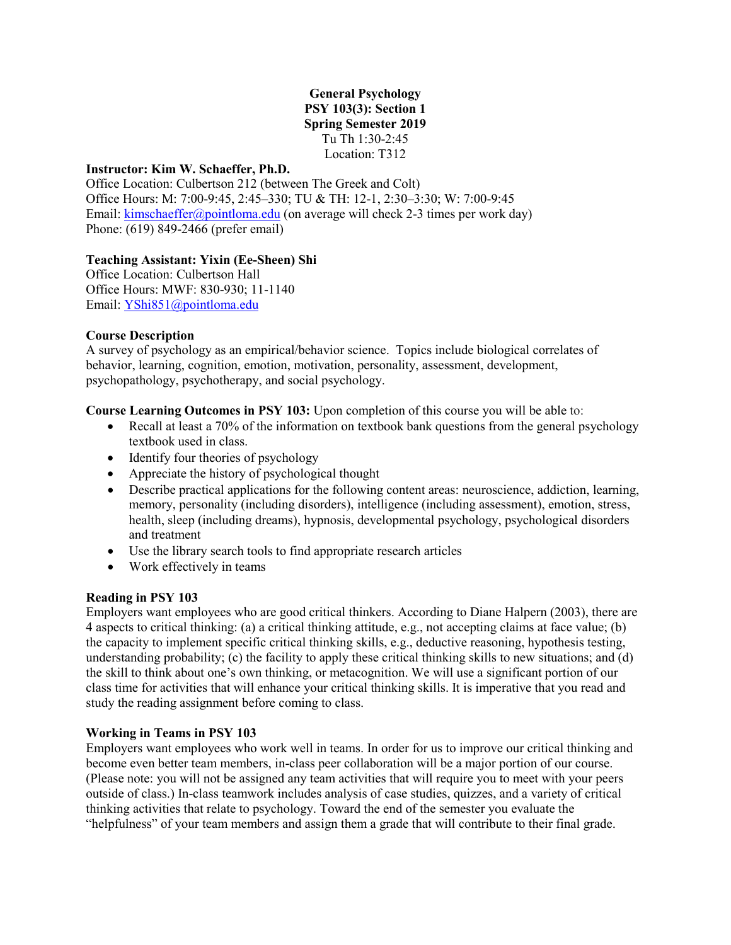# **General Psychology PSY 103(3): Section 1 Spring Semester 2019** Tu Th 1:30-2:45 Location: T312

#### **Instructor: Kim W. Schaeffer, Ph.D.**

Office Location: Culbertson 212 (between The Greek and Colt) Office Hours: M: 7:00-9:45, 2:45–330; TU & TH: 12-1, 2:30–3:30; W: 7:00-9:45 Email: [kimschaeffer@pointloma.edu](mailto:kimschaeffer@pointloma.edu) (on average will check 2-3 times per work day) Phone: (619) 849-2466 (prefer email)

# **Teaching Assistant: Yixin (Ee-Sheen) Shi**

Office Location: Culbertson Hall Office Hours: MWF: 830-930; 11-1140 Email: [YShi851@pointloma.edu](mailto:YShi851@pointloma.edu)

#### **Course Description**

A survey of psychology as an empirical/behavior science. Topics include biological correlates of behavior, learning, cognition, emotion, motivation, personality, assessment, development, psychopathology, psychotherapy, and social psychology.

**Course Learning Outcomes in PSY 103:** Upon completion of this course you will be able to:

- Recall at least a 70% of the information on textbook bank questions from the general psychology textbook used in class.
- Identify four theories of psychology
- Appreciate the history of psychological thought
- Describe practical applications for the following content areas: neuroscience, addiction, learning, memory, personality (including disorders), intelligence (including assessment), emotion, stress, health, sleep (including dreams), hypnosis, developmental psychology, psychological disorders and treatment
- Use the library search tools to find appropriate research articles
- Work effectively in teams

# **Reading in PSY 103**

Employers want employees who are good critical thinkers. According to Diane Halpern (2003), there are 4 aspects to critical thinking: (a) a critical thinking attitude, e.g., not accepting claims at face value; (b) the capacity to implement specific critical thinking skills, e.g., deductive reasoning, hypothesis testing, understanding probability; (c) the facility to apply these critical thinking skills to new situations; and (d) the skill to think about one's own thinking, or metacognition. We will use a significant portion of our class time for activities that will enhance your critical thinking skills. It is imperative that you read and study the reading assignment before coming to class.

#### **Working in Teams in PSY 103**

Employers want employees who work well in teams. In order for us to improve our critical thinking and become even better team members, in-class peer collaboration will be a major portion of our course. (Please note: you will not be assigned any team activities that will require you to meet with your peers outside of class.) In-class teamwork includes analysis of case studies, quizzes, and a variety of critical thinking activities that relate to psychology. Toward the end of the semester you evaluate the "helpfulness" of your team members and assign them a grade that will contribute to their final grade.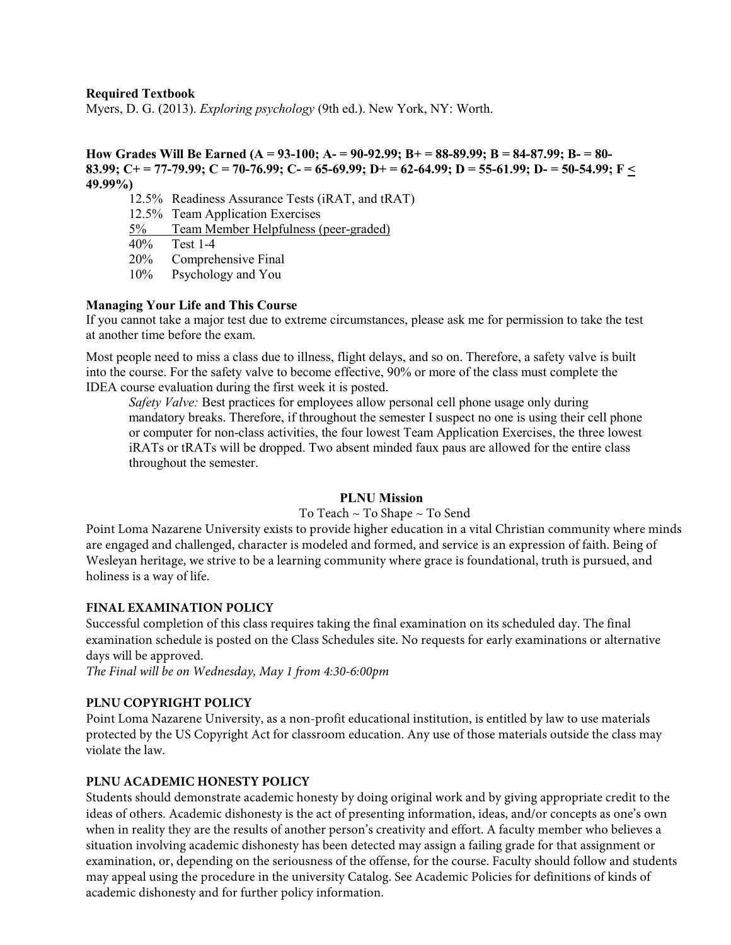# **Required Textbook**

Myers, D. G. (2013). *Exploring psychology* (9th ed.). New York, NY: Worth.

**How Grades Will Be Earned (A = 93-100; A- = 90-92.99; B+ = 88-89.99; B = 84-87.99; B- = 80- 83.99; C+ = 77-79.99; C = 70-76.99; C- = 65-69.99; D+ = 62-64.99; D = 55-61.99; D- = 50-54.99; F < 49.99%)** 

12.5% Readiness Assurance Tests (iRAT, and tRAT) 12.5% Team Application Exercises 5% Team Member Helpfulness (peer-graded) 40% Test 1-4

20% Comprehensive Final

10% Psychology and You

# **Managing Your Life and This Course**

If you cannot take a major test due to extreme circumstances, please ask me for permission to take the test at another time before the exam.

Most people need to miss a class due to illness, flight delays, and so on. Therefore, a safety valve is built into the course. For the safety valve to become effective, 90% or more of the class must complete the IDEA course evaluation during the first week it is posted.

*Safety Valve:* Best practices for employees allow personal cell phone usage only during mandatory breaks. Therefore, if throughout the semester I suspect no one is using their cell phone or computer for non-class activities, the four lowest Team Application Exercises, the three lowest iRATs or tRATs will be dropped. Two absent minded faux paus are allowed for the entire class throughout the semester.

#### **PLNU Mission**

#### To Teach ~ To Shape ~ To Send

Point Loma Nazarene University exists to provide higher education in a vital Christian community where minds are engaged and challenged, character is modeled and formed, and service is an expression of faith. Being of Wesleyan heritage, we strive to be a learning community where grace is foundational, truth is pursued, and holiness is a way of life.

#### **FINAL EXAMINATION POLICY**

Successful completion of this class requires taking the final examination on its scheduled day. The final examination schedule is posted on the Class Schedules site. No requests for early examinations or alternative days will be approved.

*The Final will be on Wednesday, May 1 from 4:30-6:00pm*

# **PLNU COPYRIGHT POLICY**

Point Loma Nazarene University, as a non-profit educational institution, is entitled by law to use materials protected by the US Copyright Act for classroom education. Any use of those materials outside the class may violate the law.

#### **PLNU ACADEMIC HONESTY POLICY**

Students should demonstrate academic honesty by doing original work and by giving appropriate credit to the ideas of others. Academic dishonesty is the act of presenting information, ideas, and/or concepts as one's own when in reality they are the results of another person's creativity and effort. A faculty member who believes a situation involving academic dishonesty has been detected may assign a failing grade for that assignment or examination, or, depending on the seriousness of the offense, for the course. Faculty should follow and students may appeal using the procedure in the university Catalog. See Academic Policies for definitions of kinds of academic dishonesty and for further policy information.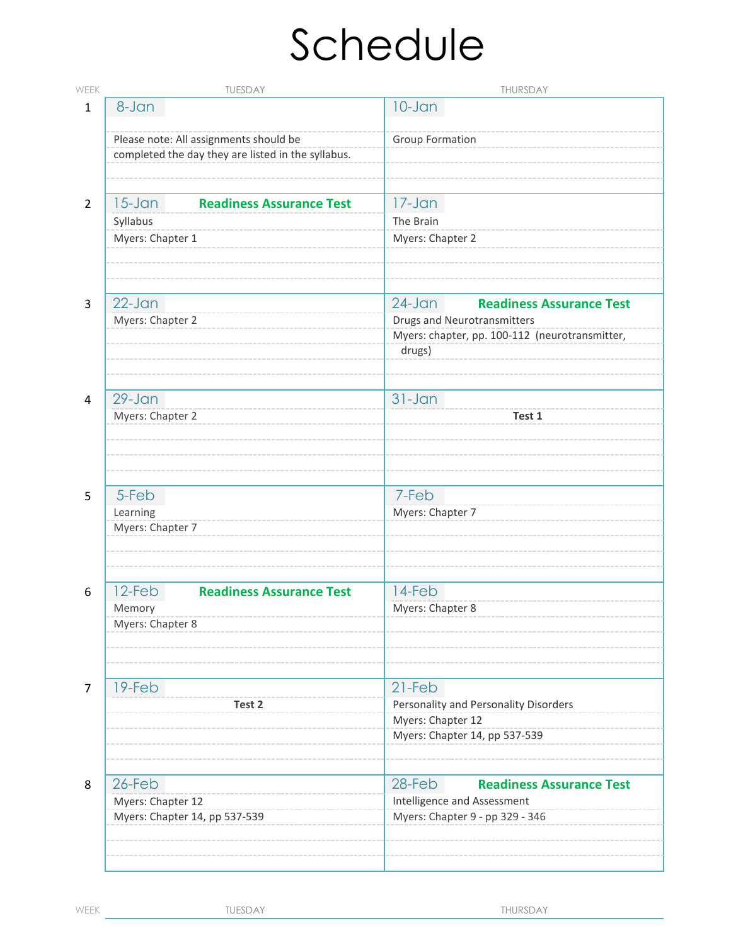# Schedule

| <b>WEEK</b>    | TUESDAY                                                                                      | THURSDAY                                                                                                                                       |
|----------------|----------------------------------------------------------------------------------------------|------------------------------------------------------------------------------------------------------------------------------------------------|
| $\mathbf{1}$   | 8-Jan                                                                                        | $10 - Jan$                                                                                                                                     |
|                | Please note: All assignments should be<br>completed the day they are listed in the syllabus. | <b>Group Formation</b>                                                                                                                         |
| 2              | $15 - Jan$<br><b>Readiness Assurance Test</b><br>Syllabus                                    | $17 - Jan$<br>The Brain                                                                                                                        |
|                | Myers: Chapter 1                                                                             | Myers: Chapter 2                                                                                                                               |
| 3              | $22$ -Jan<br>Myers: Chapter 2                                                                | $24$ -Jan<br><b>Readiness Assurance Test</b><br><b>Drugs and Neurotransmitters</b><br>Myers: chapter, pp. 100-112 (neurotransmitter,<br>drugs) |
| 4              | $29 - Jan$<br>Myers: Chapter 2                                                               | $31 - Jan$<br>Test 1                                                                                                                           |
| 5              | 5-Feb<br>Learning<br>Myers: Chapter 7                                                        | 7-Feb<br>Myers: Chapter 7                                                                                                                      |
| 6              | 12-Feb<br><b>Readiness Assurance Test</b><br>Memory<br>Myers: Chapter 8                      | 14-Feb<br>Myers: Chapter 8                                                                                                                     |
| $\overline{7}$ | 19-Feb<br>Test 2                                                                             | $21-Feb$<br>Personality and Personality Disorders<br>Myers: Chapter 12<br>Myers: Chapter 14, pp 537-539                                        |
| 8              | 26-Feb<br>Myers: Chapter 12<br>Myers: Chapter 14, pp 537-539                                 | 28-Feb<br><b>Readiness Assurance Test</b><br>Intelligence and Assessment<br>Myers: Chapter 9 - pp 329 - 346                                    |